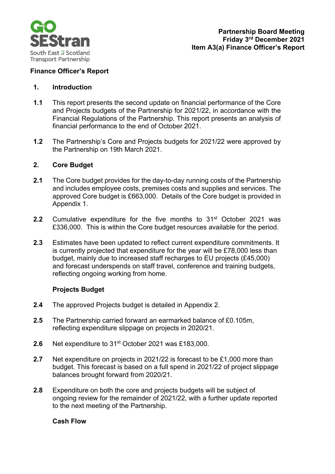

## **Finance Officer's Report**

#### **1. Introduction**

- **1.1** This report presents the second update on financial performance of the Core and Projects budgets of the Partnership for 2021/22, in accordance with the Financial Regulations of the Partnership. This report presents an analysis of financial performance to the end of October 2021.
- **1.2** The Partnership's Core and Projects budgets for 2021/22 were approved by the Partnership on 19th March 2021.

### **2. Core Budget**

- **2.1** The Core budget provides for the day-to-day running costs of the Partnership and includes employee costs, premises costs and supplies and services. The approved Core budget is £663,000. Details of the Core budget is provided in Appendix 1.
- **2.2** Cumulative expenditure for the five months to 31<sup>st</sup> October 2021 was £336,000. This is within the Core budget resources available for the period.
- **2.3** Estimates have been updated to reflect current expenditure commitments. It is currently projected that expenditure for the year will be £78,000 less than budget, mainly due to increased staff recharges to EU projects (£45,000) and forecast underspends on staff travel, conference and training budgets, reflecting ongoing working from home.

### **Projects Budget**

- **2.4** The approved Projects budget is detailed in Appendix 2.
- **2.5** The Partnership carried forward an earmarked balance of £0.105m, reflecting expenditure slippage on projects in 2020/21.
- **2.6** Net expenditure to 31st October 2021 was £183,000.
- **2.7** Net expenditure on projects in 2021/22 is forecast to be £1,000 more than budget. This forecast is based on a full spend in 2021/22 of project slippage balances brought forward from 2020/21.
- **2.8** Expenditure on both the core and projects budgets will be subject of ongoing review for the remainder of 2021/22, with a further update reported to the next meeting of the Partnership.

### **Cash Flow**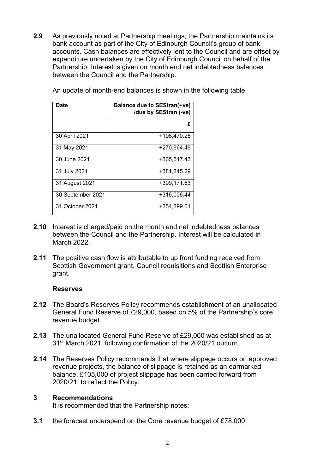**2.9** As previously noted at Partnership meetings, the Partnership maintains its bank account as part of the City of Edinburgh Council's group of bank accounts. Cash balances are effectively lent to the Council and are offset by expenditure undertaken by the City of Edinburgh Council on behalf of the Partnership. Interest is given on month end net indebtedness balances between the Council and the Partnership.

| Date              | <b>Balance due to SEStran(+ve)</b><br>/due by SEStran (-ve) |
|-------------------|-------------------------------------------------------------|
|                   | £                                                           |
| 30 April 2021     | +198,470.25                                                 |
| 31 May 2021       | +270,664.49                                                 |
| 30 June 2021      | +365,517.43                                                 |
| 31 July 2021      | +381,345.29                                                 |
| 31 August 2021    | +399,171.63                                                 |
| 30 September 2021 | +316,006.44                                                 |
| 31 October 2021   | +354,399.01                                                 |

An update of month-end balances is shown in the following table:

- **2.10** Interest is charged/paid on the month end net indebtedness balances between the Council and the Partnership. Interest will be calculated in March 2022.
- **2.11** The positive cash flow is attributable to up front funding received from Scottish Government grant, Council requisitions and Scottish Enterprise grant.

#### **Reserves**

- **2.12** The Board's Reserves Policy recommends establishment of an unallocated General Fund Reserve of £29,000, based on 5% of the Partnership's core revenue budget.
- **2.13** The unallocated General Fund Reserve of £29,000 was established as at 31st March 2021, following confirmation of the 2020/21 outturn.
- **2.14** The Reserves Policy recommends that where slippage occurs on approved revenue projects, the balance of slippage is retained as an earmarked balance. £105,000 of project slippage has been carried forward from 2020/21, to reflect the Policy.

#### **3 Recommendations**

It is recommended that the Partnership notes:

**3.1** the forecast underspend on the Core revenue budget of £78,000;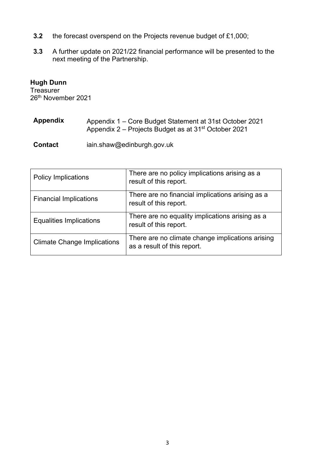- **3.2** the forecast overspend on the Projects revenue budget of £1,000;
- **3.3** A further update on 2021/22 financial performance will be presented to the next meeting of the Partnership.

# **Hugh Dunn**

Treasurer 26th November 2021

| <b>Appendix</b> | Appendix 1 – Core Budget Statement at 31st October 2021          |
|-----------------|------------------------------------------------------------------|
|                 | Appendix 2 – Projects Budget as at 31 <sup>st</sup> October 2021 |

**Contact** iain.shaw@edinburgh.gov.uk

| <b>Policy Implications</b>         | There are no policy implications arising as a<br>result of this report.         |
|------------------------------------|---------------------------------------------------------------------------------|
| <b>Financial Implications</b>      | There are no financial implications arising as a<br>result of this report.      |
| <b>Equalities Implications</b>     | There are no equality implications arising as a<br>result of this report.       |
| <b>Climate Change Implications</b> | There are no climate change implications arising<br>as a result of this report. |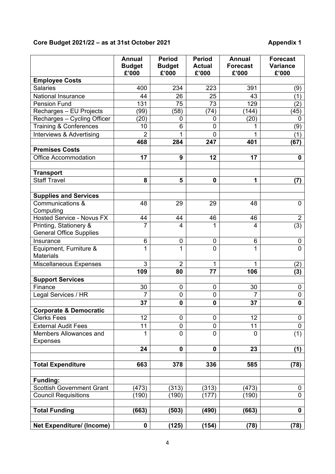#### **Core Budget 2021/22 – as at 31st October 2021 Appendix 1**

|                                                          | <b>Annual</b><br><b>Budget</b><br>£'000 | <b>Period</b><br><b>Budget</b><br>£'000 | <b>Period</b><br><b>Actual</b><br>£'000 | <b>Annual</b><br><b>Forecast</b><br>£'000 | <b>Forecast</b><br><b>Variance</b><br>£'000 |
|----------------------------------------------------------|-----------------------------------------|-----------------------------------------|-----------------------------------------|-------------------------------------------|---------------------------------------------|
| <b>Employee Costs</b>                                    |                                         |                                         |                                         |                                           |                                             |
| <b>Salaries</b>                                          | 400                                     | 234                                     | 223                                     | 391                                       | (9)                                         |
| <b>National Insurance</b>                                | 44                                      | 26                                      | 25                                      | 43                                        | (1)                                         |
| <b>Pension Fund</b>                                      | 131                                     | 75                                      | 73                                      | 129                                       | (2)                                         |
| Recharges - EU Projects                                  | (99)                                    | (58)                                    | (74)                                    | (144)                                     | (45)                                        |
| Recharges - Cycling Officer                              | (20)                                    | 0                                       | 0                                       | (20)                                      | 0                                           |
| <b>Training &amp; Conferences</b>                        | 10                                      | 6                                       | 0                                       |                                           | (9)                                         |
| Interviews & Advertising                                 | $\overline{2}$                          |                                         | 0                                       |                                           | (1)                                         |
|                                                          | 468                                     | 284                                     | 247                                     | 401                                       | (67)                                        |
| <b>Premises Costs</b>                                    |                                         |                                         |                                         |                                           |                                             |
| <b>Office Accommodation</b>                              | 17                                      | $\boldsymbol{9}$                        | 12                                      | 17                                        | $\mathbf 0$                                 |
| <b>Transport</b>                                         |                                         |                                         |                                         |                                           |                                             |
| <b>Staff Travel</b>                                      | 8                                       | 5                                       | 0                                       | 1                                         | (7)                                         |
| <b>Supplies and Services</b>                             |                                         |                                         |                                         |                                           |                                             |
| Communications &                                         | 48                                      | 29                                      | 29                                      | 48                                        | 0                                           |
| Computing                                                |                                         |                                         |                                         |                                           |                                             |
| <b>Hosted Service - Novus FX</b>                         | 44                                      | 44                                      | 46                                      | 46                                        | $\overline{2}$                              |
| Printing, Stationery &<br><b>General Office Supplies</b> | $\overline{7}$                          | $\overline{4}$                          | 1                                       | $\overline{4}$                            | (3)                                         |
| Insurance                                                | 6                                       | 0                                       | 0                                       | 6                                         | $\mathbf 0$                                 |
| Equipment, Furniture &<br><b>Materials</b>               | 1                                       | 1                                       | $\overline{0}$                          | 1                                         | $\overline{0}$                              |
| <b>Miscellaneous Expenses</b>                            | 3                                       | $\overline{2}$                          | 1                                       | 1                                         | (2)                                         |
|                                                          | 109                                     | 80                                      | 77                                      | 106                                       | (3)                                         |
| <b>Support Services</b>                                  |                                         |                                         |                                         |                                           |                                             |
| Finance                                                  | $30\,$                                  | $\pmb{0}$                               | 0                                       | $30\,$                                    | $\mathbf 0$                                 |
| Legal Services / HR                                      | $\overline{7}$                          | $\mathbf 0$                             | 0                                       | $\overline{7}$                            | $\pmb{0}$                                   |
|                                                          | 37                                      | 0                                       | $\mathbf 0$                             | 37                                        | 0                                           |
| <b>Corporate &amp; Democratic</b>                        |                                         |                                         |                                         |                                           |                                             |
| <b>Clerks Fees</b>                                       | 12                                      | 0                                       | 0                                       | 12                                        | 0                                           |
| <b>External Audit Fees</b>                               | 11                                      | 0                                       | 0                                       | 11                                        | $\pmb{0}$                                   |
| Members Allowances and<br><b>Expenses</b>                | $\mathbf 1$                             | $\overline{0}$                          | $\overline{0}$                          | $\overline{0}$                            | (1)                                         |
|                                                          | 24                                      | $\mathbf 0$                             | $\mathbf 0$                             | 23                                        | (1)                                         |
|                                                          |                                         |                                         |                                         |                                           |                                             |
| <b>Total Expenditure</b>                                 | 663                                     | 378                                     | 336                                     | 585                                       | (78)                                        |
| <b>Funding:</b>                                          |                                         |                                         |                                         |                                           |                                             |
| Scottish Government Grant                                | (473)                                   | (313)                                   | (313)                                   | (473)                                     | 0                                           |
| <b>Council Requisitions</b>                              | (190)                                   | (190)                                   | (177)                                   | (190)                                     | $\mathbf 0$                                 |
| <b>Total Funding</b>                                     | (663)                                   | (503)                                   | (490)                                   | (663)                                     | $\mathbf 0$                                 |
|                                                          |                                         |                                         |                                         |                                           |                                             |
| <b>Net Expenditure/ (Income)</b>                         | 0                                       | (125)                                   | (154)                                   | (78)                                      | (78)                                        |